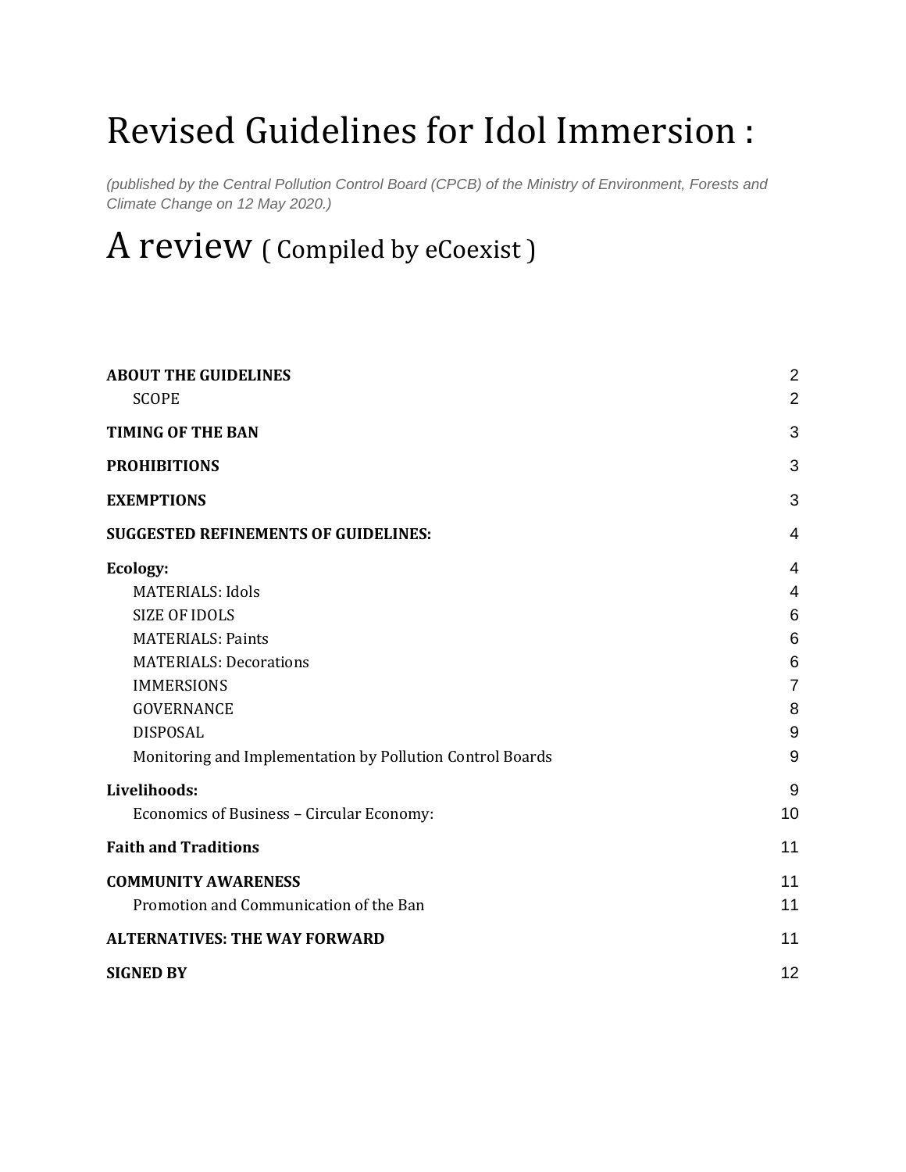# Revised Guidelines for Idol Immersion :

*(published by the Central Pollution Control Board (CPCB) of the Ministry of Environment, Forests and Climate Change on 12 May 2020.)*

# A review ( Compiled by eCoexist )

| <b>ABOUT THE GUIDELINES</b><br><b>SCOPE</b>               | $\overline{2}$<br>$\overline{2}$ |
|-----------------------------------------------------------|----------------------------------|
| <b>TIMING OF THE BAN</b>                                  | 3                                |
| <b>PROHIBITIONS</b>                                       | 3                                |
| <b>EXEMPTIONS</b>                                         | 3                                |
| <b>SUGGESTED REFINEMENTS OF GUIDELINES:</b>               | 4                                |
| Ecology:                                                  | 4                                |
| <b>MATERIALS: Idols</b>                                   | $\overline{4}$                   |
| <b>SIZE OF IDOLS</b>                                      | 6                                |
| <b>MATERIALS: Paints</b>                                  | 6                                |
| <b>MATERIALS: Decorations</b>                             | 6                                |
| <b>IMMERSIONS</b>                                         | $\overline{7}$                   |
| <b>GOVERNANCE</b>                                         | 8                                |
| <b>DISPOSAL</b>                                           | 9                                |
| Monitoring and Implementation by Pollution Control Boards | 9                                |
| Livelihoods:                                              | 9                                |
| Economics of Business - Circular Economy:                 | 10                               |
| <b>Faith and Traditions</b>                               | 11                               |
| <b>COMMUNITY AWARENESS</b>                                | 11                               |
| Promotion and Communication of the Ban                    | 11                               |
| <b>ALTERNATIVES: THE WAY FORWARD</b>                      | 11                               |
| <b>SIGNED BY</b>                                          | 12                               |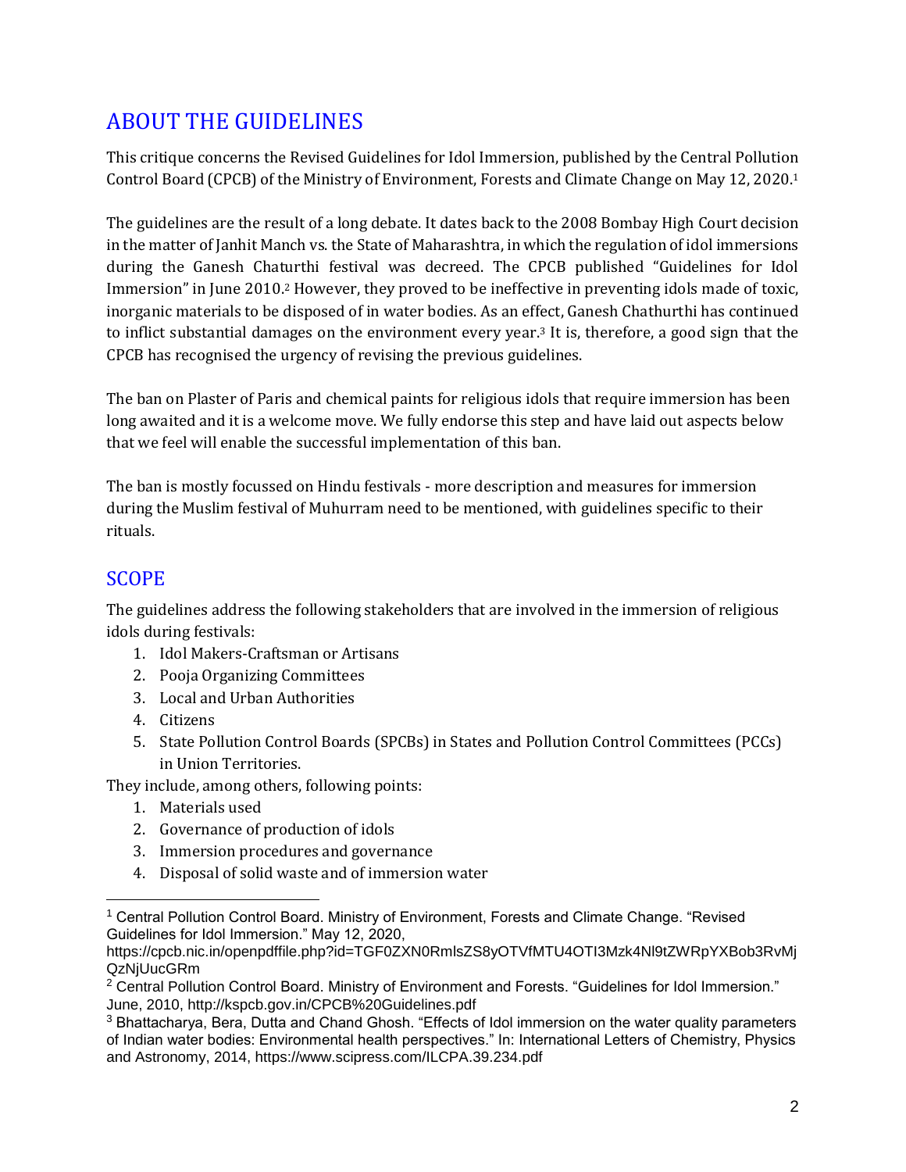# <span id="page-1-0"></span>ABOUT THE GUIDELINES

This critique concerns the Revised Guidelines for Idol Immersion, published by the Central Pollution Control Board (CPCB) of the Ministry of Environment, Forests and Climate Change on May 12, 2020.<sup>1</sup>

The guidelines are the result of a long debate. It dates back to the 2008 Bombay High Court decision in the matter of Janhit Manch vs. the State of Maharashtra, in which the regulation of idol immersions during the Ganesh Chaturthi festival was decreed. The CPCB published "Guidelines for Idol Immersion" in June 2010.<sup>2</sup> However, they proved to be ineffective in preventing idols made of toxic, inorganic materials to be disposed of in water bodies. As an effect, Ganesh Chathurthi has continued to inflict substantial damages on the environment every year.<sup>3</sup> It is, therefore, a good sign that the CPCB has recognised the urgency of revising the previous guidelines.

The ban on Plaster of Paris and chemical paints for religious idols that require immersion has been long awaited and it is a welcome move. We fully endorse this step and have laid out aspects below that we feel will enable the successful implementation of this ban.

The ban is mostly focussed on Hindu festivals - more description and measures for immersion during the Muslim festival of Muhurram need to be mentioned, with guidelines specific to their rituals.

## <span id="page-1-1"></span>SCOPE

The guidelines address the following stakeholders that are involved in the immersion of religious idols during festivals:

- 1. Idol Makers-Craftsman or Artisans
- 2. Pooja Organizing Committees
- 3. Local and Urban Authorities
- 4. Citizens
- 5. State Pollution Control Boards (SPCBs) in States and Pollution Control Committees (PCCs) in Union Territories.

They include, among others, following points:

- 1. Materials used
- 2. Governance of production of idols
- 3. Immersion procedures and governance
- 4. Disposal of solid waste and of immersion water

<sup>1</sup> Central Pollution Control Board. Ministry of Environment, Forests and Climate Change. "Revised Guidelines for Idol Immersion." May 12, 2020,

https://cpcb.nic.in/openpdffile.php?id=TGF0ZXN0RmlsZS8yOTVfMTU4OTI3Mzk4Nl9tZWRpYXBob3RvMj QzNjUucGRm

<sup>2</sup> Central Pollution Control Board. Ministry of Environment and Forests. "Guidelines for Idol Immersion." June, 2010, http://kspcb.gov.in/CPCB%20Guidelines.pdf

<sup>3</sup> Bhattacharya, Bera, Dutta and Chand Ghosh. "Effects of Idol immersion on the water quality parameters of Indian water bodies: Environmental health perspectives." In: International Letters of Chemistry, Physics and Astronomy, 2014, https://www.scipress.com/ILCPA.39.234.pdf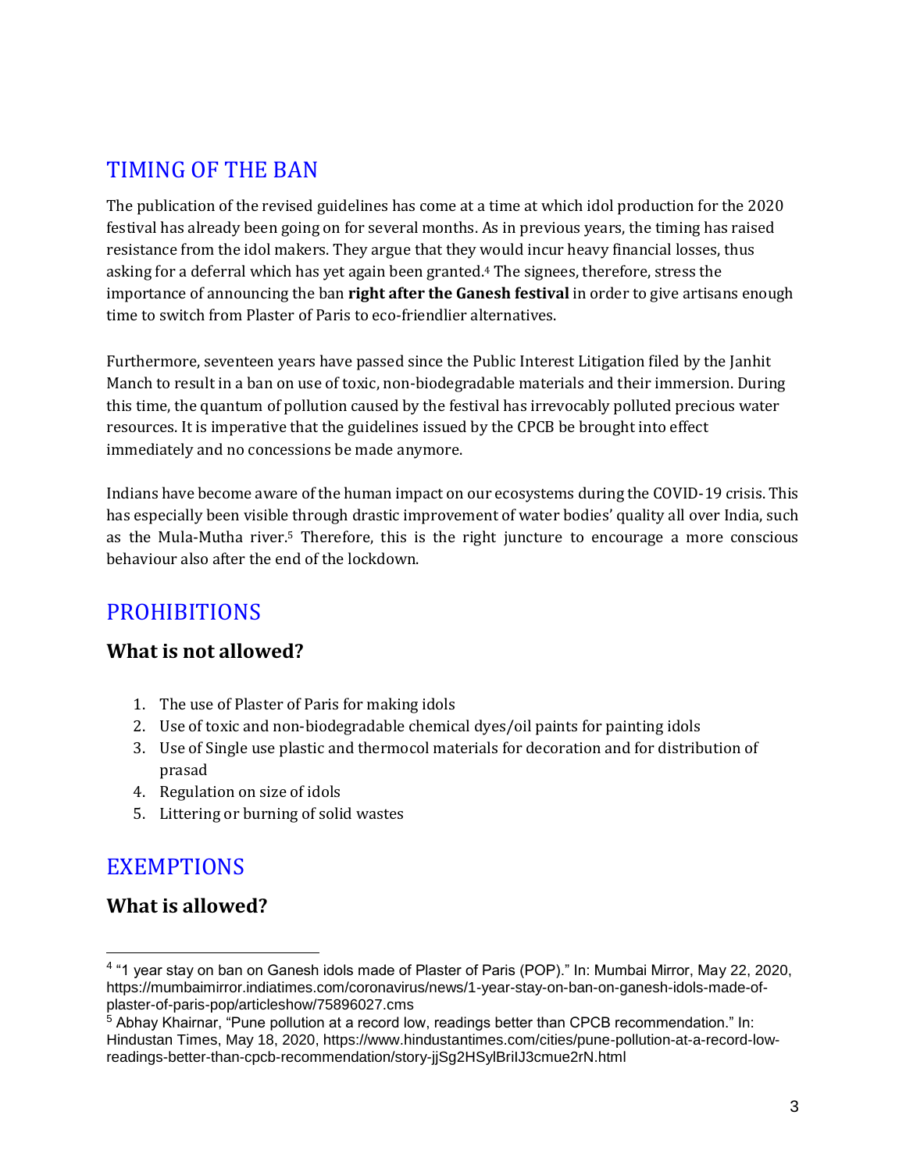# <span id="page-2-0"></span>TIMING OF THE BAN

The publication of the revised guidelines has come at a time at which idol production for the 2020 festival has already been going on for several months. As in previous years, the timing has raised resistance from the idol makers. They argue that they would incur heavy financial losses, thus asking for a deferral which has yet again been granted.<sup>4</sup> The signees, therefore, stress the importance of announcing the ban **right after the Ganesh festival** in order to give artisans enough time to switch from Plaster of Paris to eco-friendlier alternatives.

Furthermore, seventeen years have passed since the Public Interest Litigation filed by the Janhit Manch to result in a ban on use of toxic, non-biodegradable materials and their immersion. During this time, the quantum of pollution caused by the festival has irrevocably polluted precious water resources. It is imperative that the guidelines issued by the CPCB be brought into effect immediately and no concessions be made anymore.

Indians have become aware of the human impact on our ecosystems during the COVID-19 crisis. This has especially been visible through drastic improvement of water bodies' quality all over India, such as the Mula-Mutha river.<sup>5</sup> Therefore, this is the right juncture to encourage a more conscious behaviour also after the end of the lockdown.

# <span id="page-2-1"></span>**PROHIBITIONS**

## **What is not allowed?**

- 1. The use of Plaster of Paris for making idols
- 2. Use of toxic and non-biodegradable chemical dyes/oil paints for painting idols
- 3. Use of Single use plastic and thermocol materials for decoration and for distribution of prasad
- 4. Regulation on size of idols
- 5. Littering or burning of solid wastes

# <span id="page-2-2"></span>**EXEMPTIONS**

 $\overline{a}$ 

## **What is allowed?**

<sup>4</sup> "1 year stay on ban on Ganesh idols made of Plaster of Paris (POP)." In: Mumbai Mirror, May 22, 2020, https://mumbaimirror.indiatimes.com/coronavirus/news/1-year-stay-on-ban-on-ganesh-idols-made-ofplaster-of-paris-pop/articleshow/75896027.cms

<sup>5</sup> Abhay Khairnar, "Pune pollution at a record low, readings better than CPCB recommendation." In: Hindustan Times, May 18, 2020, https://www.hindustantimes.com/cities/pune-pollution-at-a-record-lowreadings-better-than-cpcb-recommendation/story-jjSg2HSylBriIJ3cmue2rN.html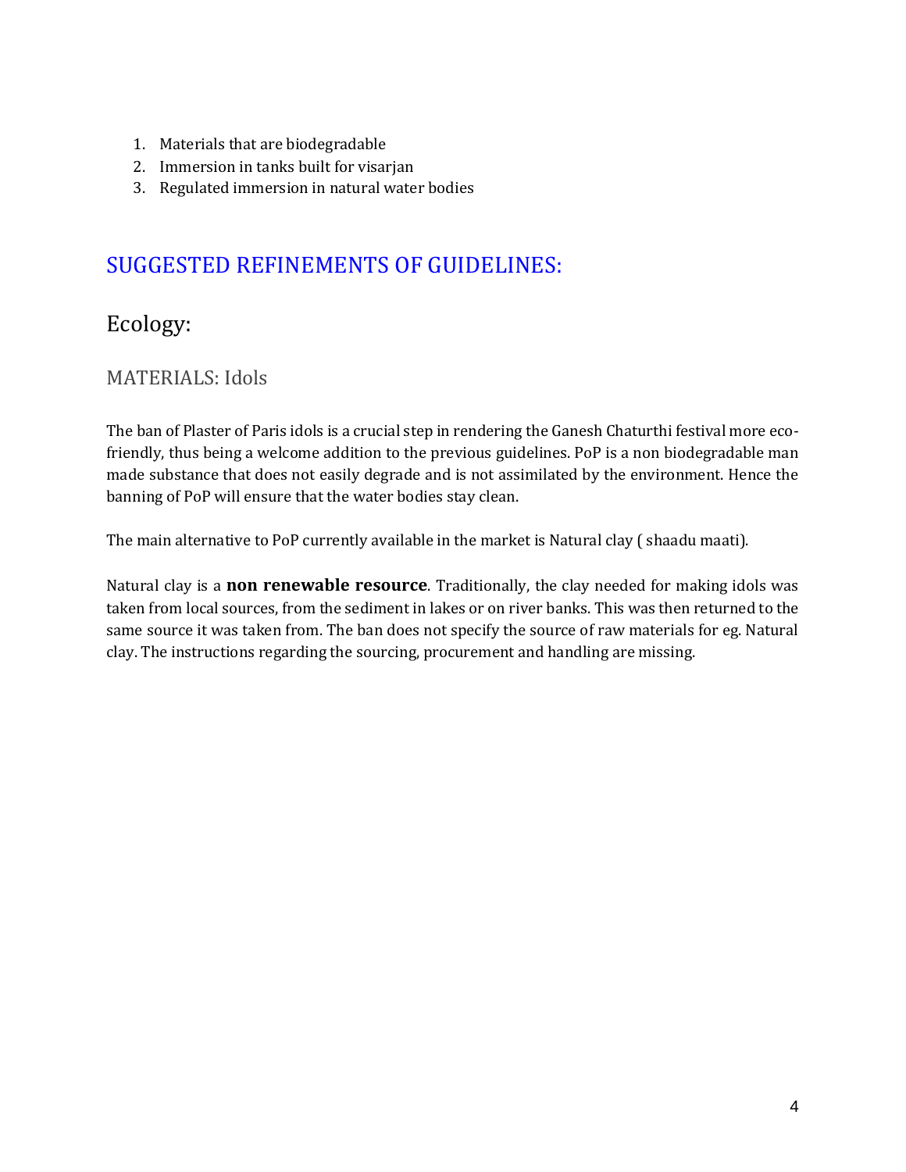- 1. Materials that are biodegradable
- 2. Immersion in tanks built for visarjan
- 3. Regulated immersion in natural water bodies

# <span id="page-3-0"></span>SUGGESTED REFINEMENTS OF GUIDELINES:

# <span id="page-3-1"></span>Ecology:

## <span id="page-3-2"></span>MATERIALS: Idols

The ban of Plaster of Paris idols is a crucial step in rendering the Ganesh Chaturthi festival more ecofriendly, thus being a welcome addition to the previous guidelines. PoP is a non biodegradable man made substance that does not easily degrade and is not assimilated by the environment. Hence the banning of PoP will ensure that the water bodies stay clean.

The main alternative to PoP currently available in the market is Natural clay ( shaadu maati).

Natural clay is a **non renewable resource**. Traditionally, the clay needed for making idols was taken from local sources, from the sediment in lakes or on river banks. This was then returned to the same source it was taken from. The ban does not specify the source of raw materials for eg. Natural clay. The instructions regarding the sourcing, procurement and handling are missing.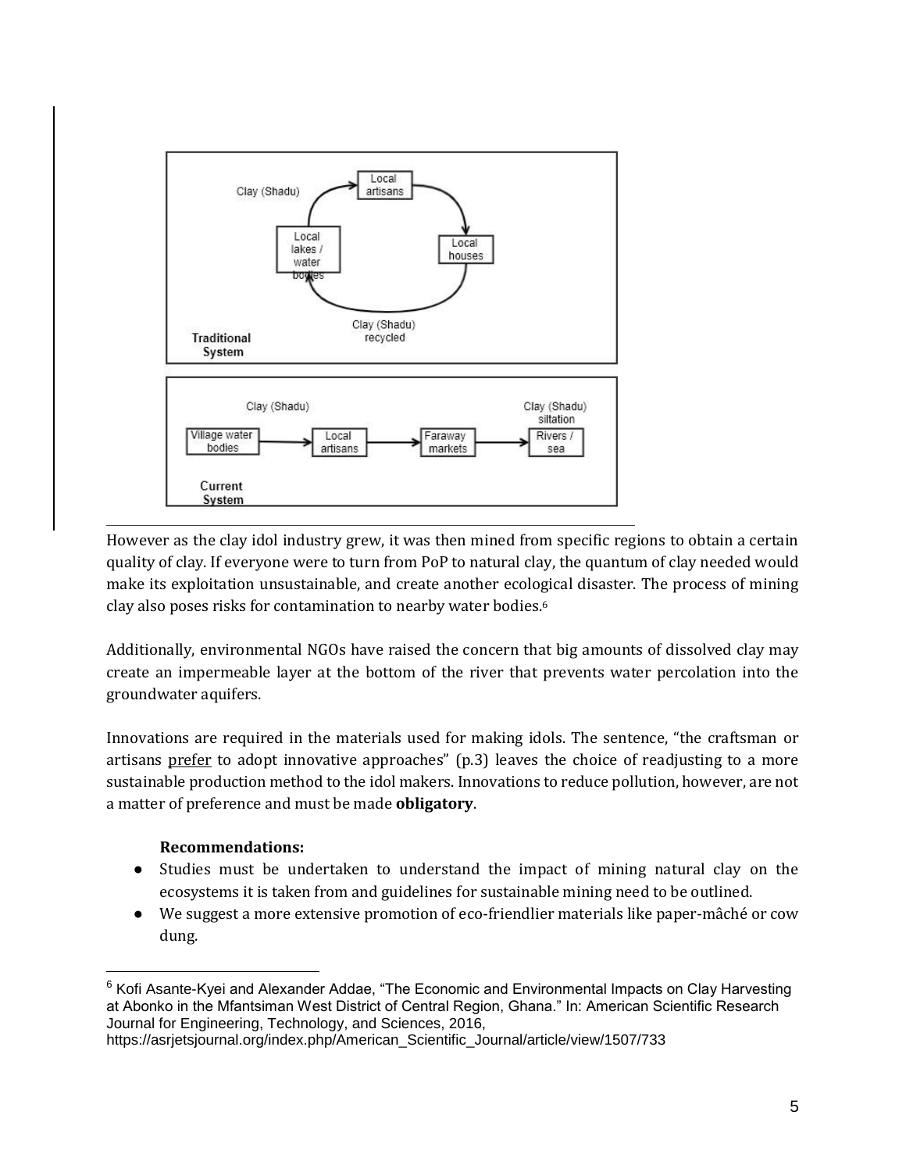

However as the clay idol industry grew, it was then mined from specific regions to obtain a certain quality of clay. If everyone were to turn from PoP to natural clay, the quantum of clay needed would make its exploitation unsustainable, and create another ecological disaster. The process of mining clay also poses risks for contamination to nearby water bodies.<sup>6</sup>

Additionally, environmental NGOs have raised the concern that big amounts of dissolved clay may create an impermeable layer at the bottom of the river that prevents water percolation into the groundwater aquifers.

Innovations are required in the materials used for making idols. The sentence, "the craftsman or artisans prefer to adopt innovative approaches" (p.3) leaves the choice of readjusting to a more sustainable production method to the idol makers. Innovations to reduce pollution, however, are not a matter of preference and must be made **obligatory**.

#### **Recommendations:**

- Studies must be undertaken to understand the impact of mining natural clay on the ecosystems it is taken from and guidelines for sustainable mining need to be outlined.
- We suggest a more extensive promotion of eco-friendlier materials like paper-mâché or cow dung.

<sup>&</sup>lt;sup>6</sup> Kofi Asante-Kyei and Alexander Addae, "The Economic and Environmental Impacts on Clay Harvesting at Abonko in the Mfantsiman West District of Central Region, Ghana." In: American Scientific Research Journal for Engineering, Technology, and Sciences, 2016,

https://asrjetsjournal.org/index.php/American\_Scientific\_Journal/article/view/1507/733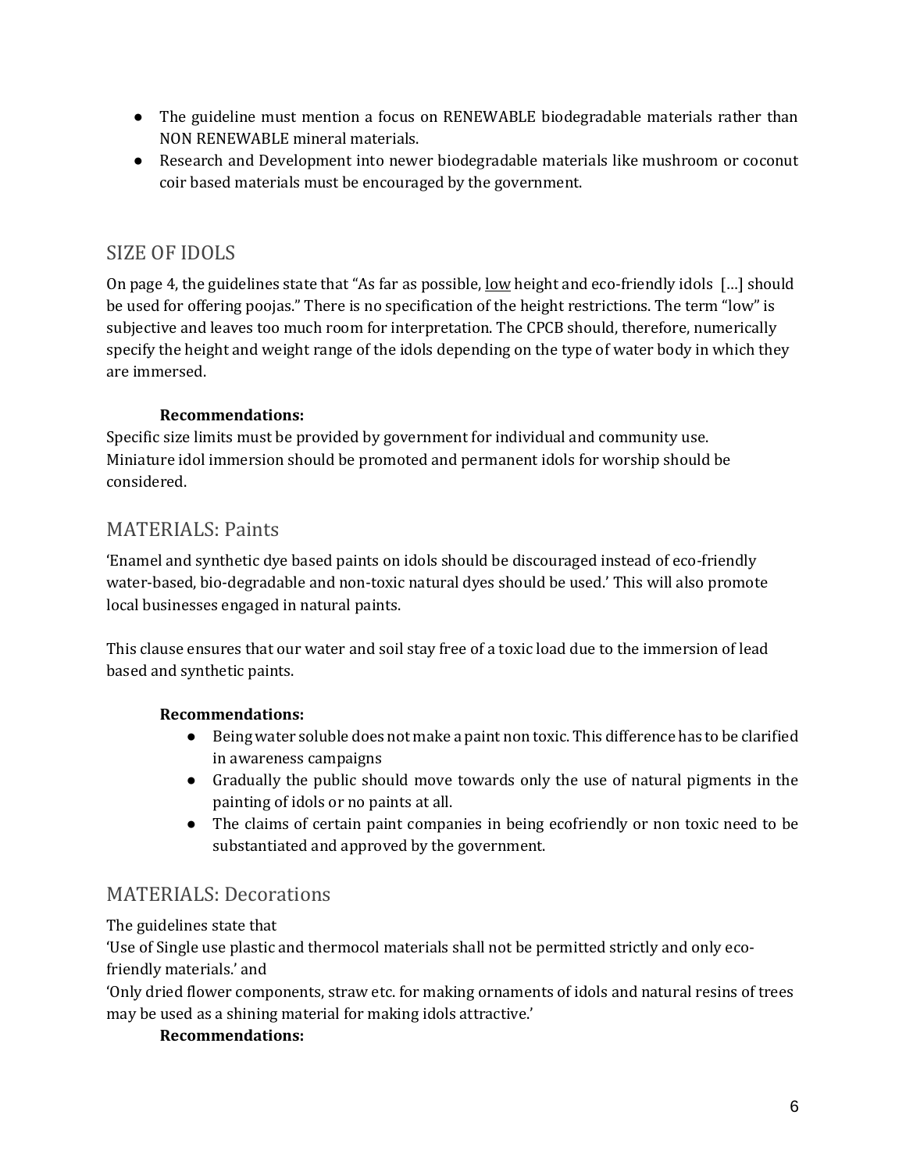- The guideline must mention a focus on RENEWABLE biodegradable materials rather than NON RENEWABLE mineral materials.
- Research and Development into newer biodegradable materials like mushroom or coconut coir based materials must be encouraged by the government.

## <span id="page-5-0"></span>SIZE OF IDOLS

On page 4, the guidelines state that "As far as possible, low height and eco-friendly idols […] should be used for offering poojas." There is no specification of the height restrictions. The term "low" is subjective and leaves too much room for interpretation. The CPCB should, therefore, numerically specify the height and weight range of the idols depending on the type of water body in which they are immersed.

#### **Recommendations:**

Specific size limits must be provided by government for individual and community use. Miniature idol immersion should be promoted and permanent idols for worship should be considered.

## <span id="page-5-1"></span>MATERIALS: Paints

'Enamel and synthetic dye based paints on idols should be discouraged instead of eco-friendly water-based, bio-degradable and non-toxic natural dyes should be used.' This will also promote local businesses engaged in natural paints.

This clause ensures that our water and soil stay free of a toxic load due to the immersion of lead based and synthetic paints.

#### **Recommendations:**

- Being water soluble does not make a paint non toxic. This difference has to be clarified in awareness campaigns
- Gradually the public should move towards only the use of natural pigments in the painting of idols or no paints at all.
- The claims of certain paint companies in being ecofriendly or non toxic need to be substantiated and approved by the government.

## <span id="page-5-2"></span>MATERIALS: Decorations

#### The guidelines state that

'Use of Single use plastic and thermocol materials shall not be permitted strictly and only ecofriendly materials.' and

'Only dried flower components, straw etc. for making ornaments of idols and natural resins of trees may be used as a shining material for making idols attractive.'

#### **Recommendations:**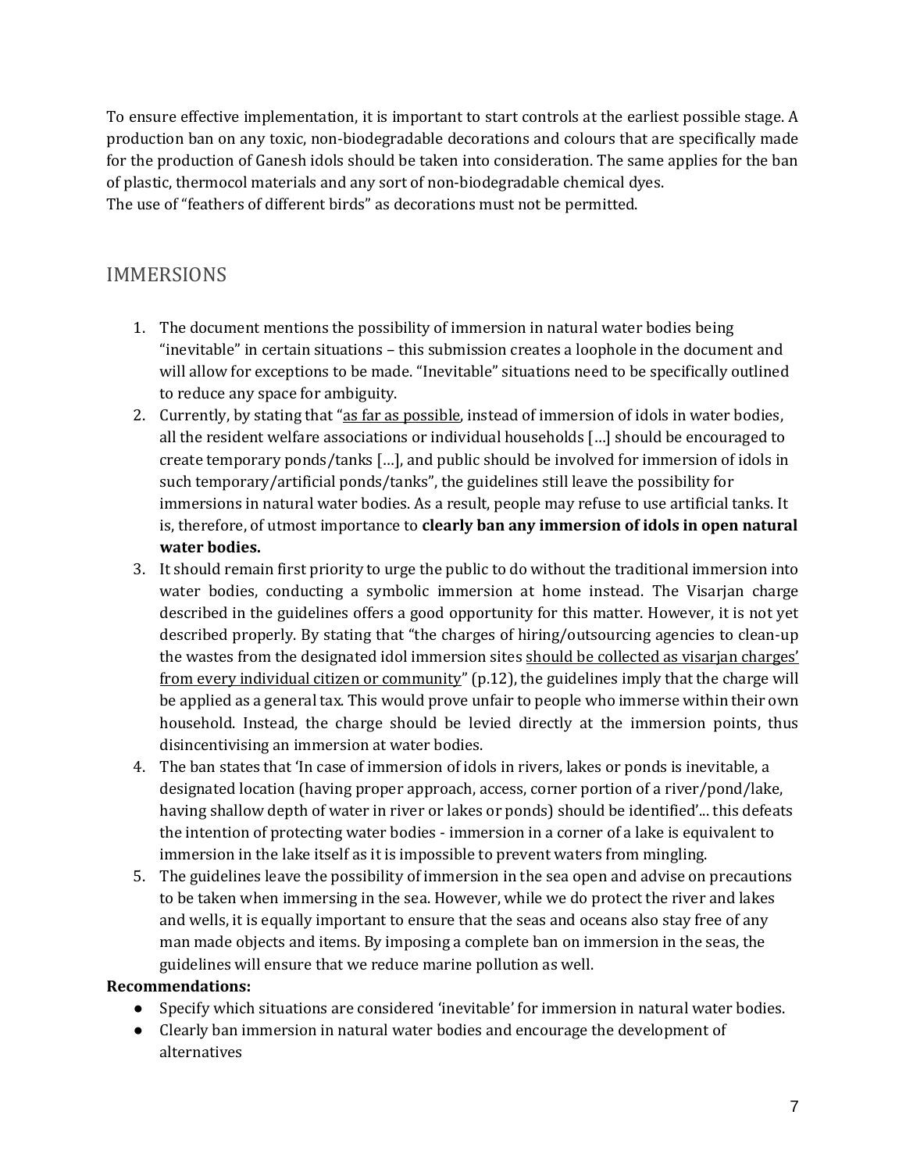To ensure effective implementation, it is important to start controls at the earliest possible stage. A production ban on any toxic, non-biodegradable decorations and colours that are specifically made for the production of Ganesh idols should be taken into consideration. The same applies for the ban of plastic, thermocol materials and any sort of non-biodegradable chemical dyes. The use of "feathers of different birds" as decorations must not be permitted.

## <span id="page-6-0"></span>IMMERSIONS

- 1. The document mentions the possibility of immersion in natural water bodies being "inevitable" in certain situations – this submission creates a loophole in the document and will allow for exceptions to be made. "Inevitable" situations need to be specifically outlined to reduce any space for ambiguity.
- 2. Currently, by stating that "as far as possible, instead of immersion of idols in water bodies, all the resident welfare associations or individual households […] should be encouraged to create temporary ponds/tanks […], and public should be involved for immersion of idols in such temporary/artificial ponds/tanks", the guidelines still leave the possibility for immersions in natural water bodies. As a result, people may refuse to use artificial tanks. It is, therefore, of utmost importance to **clearly ban any immersion of idols in open natural water bodies.**
- 3. It should remain first priority to urge the public to do without the traditional immersion into water bodies, conducting a symbolic immersion at home instead. The Visarjan charge described in the guidelines offers a good opportunity for this matter. However, it is not yet described properly. By stating that "the charges of hiring/outsourcing agencies to clean-up the wastes from the designated idol immersion sites should be collected as visarjan charges' from every individual citizen or community" (p.12), the guidelines imply that the charge will be applied as a general tax. This would prove unfair to people who immerse within their own household. Instead, the charge should be levied directly at the immersion points, thus disincentivising an immersion at water bodies.
- 4. The ban states that 'In case of immersion of idols in rivers, lakes or ponds is inevitable, a designated location (having proper approach, access, corner portion of a river/pond/lake, having shallow depth of water in river or lakes or ponds) should be identified'... this defeats the intention of protecting water bodies - immersion in a corner of a lake is equivalent to immersion in the lake itself as it is impossible to prevent waters from mingling.
- 5. The guidelines leave the possibility of immersion in the sea open and advise on precautions to be taken when immersing in the sea. However, while we do protect the river and lakes and wells, it is equally important to ensure that the seas and oceans also stay free of any man made objects and items. By imposing a complete ban on immersion in the seas, the guidelines will ensure that we reduce marine pollution as well.

#### **Recommendations:**

- Specify which situations are considered 'inevitable' for immersion in natural water bodies.
- Clearly ban immersion in natural water bodies and encourage the development of alternatives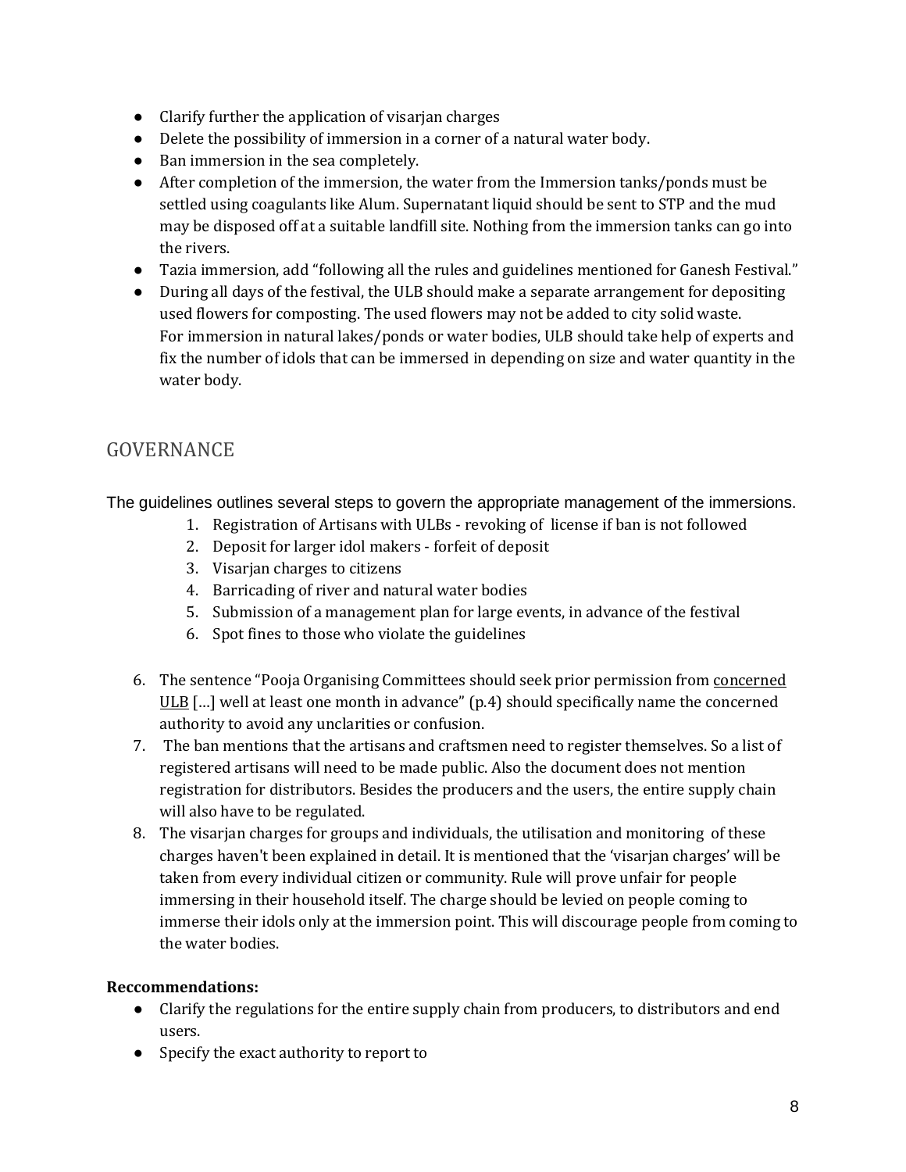- Clarify further the application of visarjan charges
- Delete the possibility of immersion in a corner of a natural water body.
- Ban immersion in the sea completely.
- After completion of the immersion, the water from the Immersion tanks/ponds must be settled using coagulants like Alum. Supernatant liquid should be sent to STP and the mud may be disposed off at a suitable landfill site. Nothing from the immersion tanks can go into the rivers.
- Tazia immersion, add "following all the rules and guidelines mentioned for Ganesh Festival."
- During all days of the festival, the ULB should make a separate arrangement for depositing used flowers for composting. The used flowers may not be added to city solid waste. For immersion in natural lakes/ponds or water bodies, ULB should take help of experts and fix the number of idols that can be immersed in depending on size and water quantity in the water body.

## <span id="page-7-0"></span>GOVERNANCE

The guidelines outlines several steps to govern the appropriate management of the immersions.

- 1. Registration of Artisans with ULBs revoking of license if ban is not followed
- 2. Deposit for larger idol makers forfeit of deposit
- 3. Visarjan charges to citizens
- 4. Barricading of river and natural water bodies
- 5. Submission of a management plan for large events, in advance of the festival
- 6. Spot fines to those who violate the guidelines
- 6. The sentence "Pooja Organising Committees should seek prior permission from concerned ULB  $\lceil \ldots \rceil$  well at least one month in advance" (p.4) should specifically name the concerned authority to avoid any unclarities or confusion.
- 7. The ban mentions that the artisans and craftsmen need to register themselves. So a list of registered artisans will need to be made public. Also the document does not mention registration for distributors. Besides the producers and the users, the entire supply chain will also have to be regulated.
- 8. The visarjan charges for groups and individuals, the utilisation and monitoring of these charges haven't been explained in detail. It is mentioned that the 'visarjan charges' will be taken from every individual citizen or community. Rule will prove unfair for people immersing in their household itself. The charge should be levied on people coming to immerse their idols only at the immersion point. This will discourage people from coming to the water bodies.

#### **Reccommendations:**

- Clarify the regulations for the entire supply chain from producers, to distributors and end users.
- Specify the exact authority to report to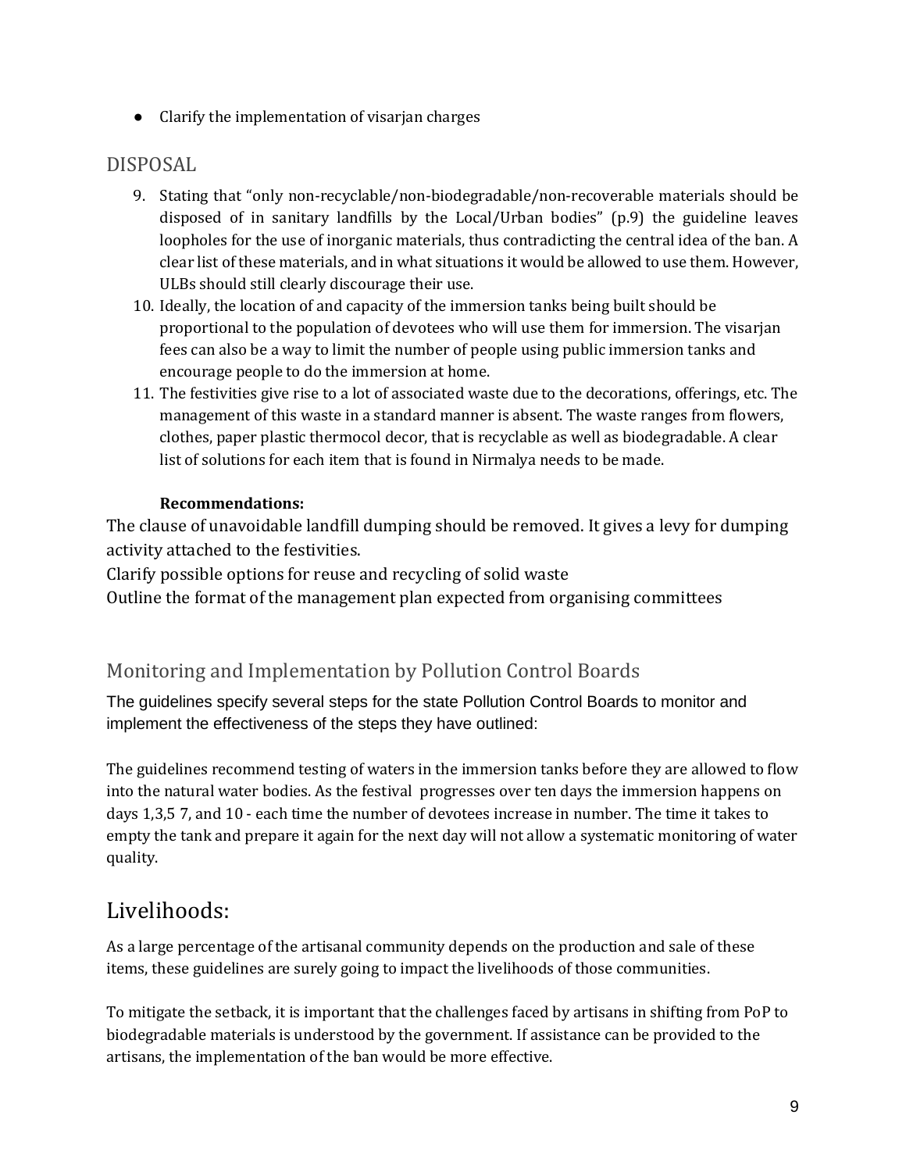● Clarify the implementation of visarjan charges

## <span id="page-8-0"></span>DISPOSAL

- 9. Stating that "only non-recyclable/non-biodegradable/non-recoverable materials should be disposed of in sanitary landfills by the Local/Urban bodies" (p.9) the guideline leaves loopholes for the use of inorganic materials, thus contradicting the central idea of the ban. A clear list of these materials, and in what situations it would be allowed to use them. However, ULBs should still clearly discourage their use.
- 10. Ideally, the location of and capacity of the immersion tanks being built should be proportional to the population of devotees who will use them for immersion. The visarjan fees can also be a way to limit the number of people using public immersion tanks and encourage people to do the immersion at home.
- 11. The festivities give rise to a lot of associated waste due to the decorations, offerings, etc. The management of this waste in a standard manner is absent. The waste ranges from flowers, clothes, paper plastic thermocol decor, that is recyclable as well as biodegradable. A clear list of solutions for each item that is found in Nirmalya needs to be made.

#### **Recommendations:**

The clause of unavoidable landfill dumping should be removed. It gives a levy for dumping activity attached to the festivities.

Clarify possible options for reuse and recycling of solid waste

Outline the format of the management plan expected from organising committees

## <span id="page-8-1"></span>Monitoring and Implementation by Pollution Control Boards

The guidelines specify several steps for the state Pollution Control Boards to monitor and implement the effectiveness of the steps they have outlined:

The guidelines recommend testing of waters in the immersion tanks before they are allowed to flow into the natural water bodies. As the festival progresses over ten days the immersion happens on days 1,3,5 7, and 10 - each time the number of devotees increase in number. The time it takes to empty the tank and prepare it again for the next day will not allow a systematic monitoring of water quality.

# <span id="page-8-2"></span>Livelihoods:

As a large percentage of the artisanal community depends on the production and sale of these items, these guidelines are surely going to impact the livelihoods of those communities.

To mitigate the setback, it is important that the challenges faced by artisans in shifting from PoP to biodegradable materials is understood by the government. If assistance can be provided to the artisans, the implementation of the ban would be more effective.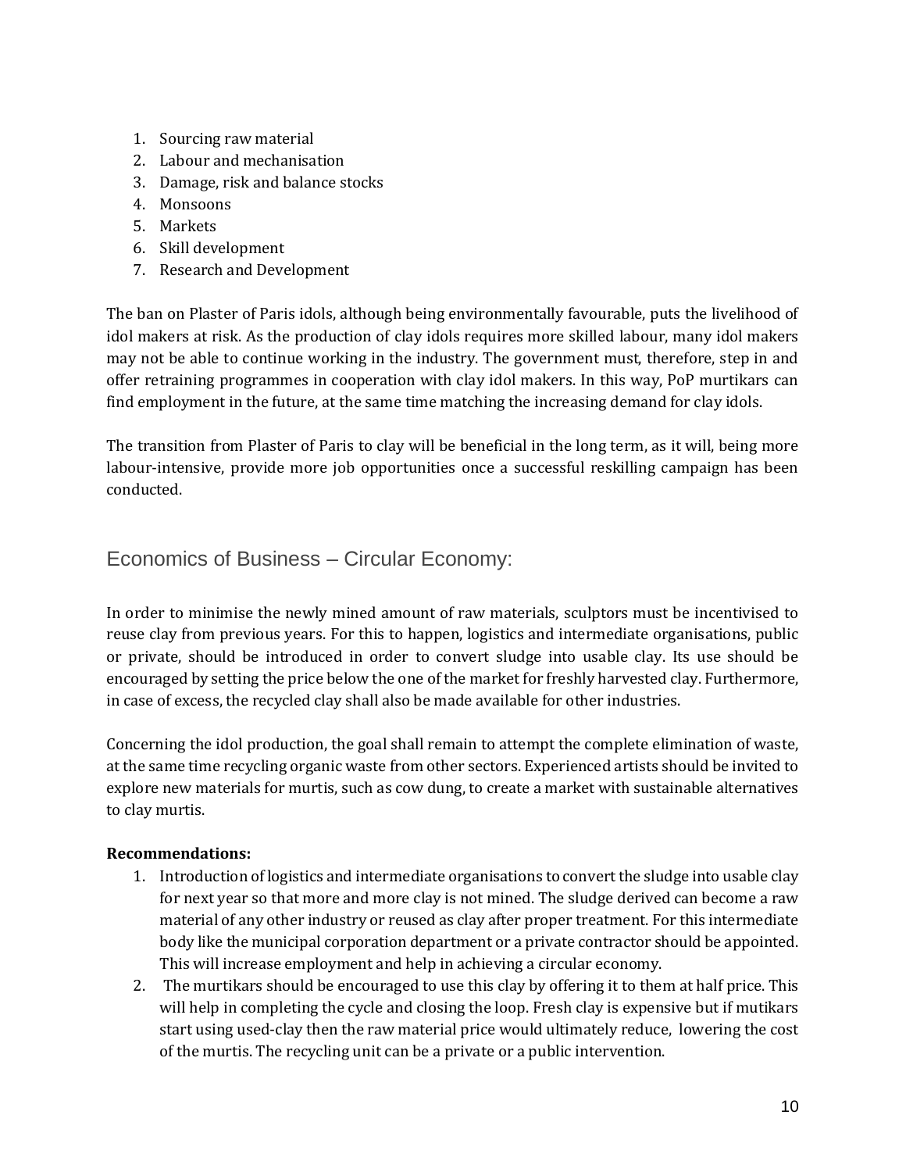- 1. Sourcing raw material
- 2. Labour and mechanisation
- 3. Damage, risk and balance stocks
- 4. Monsoons
- 5. Markets
- 6. Skill development
- 7. Research and Development

The ban on Plaster of Paris idols, although being environmentally favourable, puts the livelihood of idol makers at risk. As the production of clay idols requires more skilled labour, many idol makers may not be able to continue working in the industry. The government must, therefore, step in and offer retraining programmes in cooperation with clay idol makers. In this way, PoP murtikars can find employment in the future, at the same time matching the increasing demand for clay idols.

The transition from Plaster of Paris to clay will be beneficial in the long term, as it will, being more labour-intensive, provide more job opportunities once a successful reskilling campaign has been conducted.

### <span id="page-9-0"></span>Economics of Business – Circular Economy:

In order to minimise the newly mined amount of raw materials, sculptors must be incentivised to reuse clay from previous years. For this to happen, logistics and intermediate organisations, public or private, should be introduced in order to convert sludge into usable clay. Its use should be encouraged by setting the price below the one of the market for freshly harvested clay. Furthermore, in case of excess, the recycled clay shall also be made available for other industries.

Concerning the idol production, the goal shall remain to attempt the complete elimination of waste, at the same time recycling organic waste from other sectors. Experienced artists should be invited to explore new materials for murtis, such as cow dung, to create a market with sustainable alternatives to clay murtis.

#### **Recommendations:**

- 1. Introduction of logistics and intermediate organisations to convert the sludge into usable clay for next year so that more and more clay is not mined. The sludge derived can become a raw material of any other industry or reused as clay after proper treatment. For this intermediate body like the municipal corporation department or a private contractor should be appointed. This will increase employment and help in achieving a circular economy.
- 2. The murtikars should be encouraged to use this clay by offering it to them at half price. This will help in completing the cycle and closing the loop. Fresh clay is expensive but if mutikars start using used-clay then the raw material price would ultimately reduce, lowering the cost of the murtis. The recycling unit can be a private or a public intervention.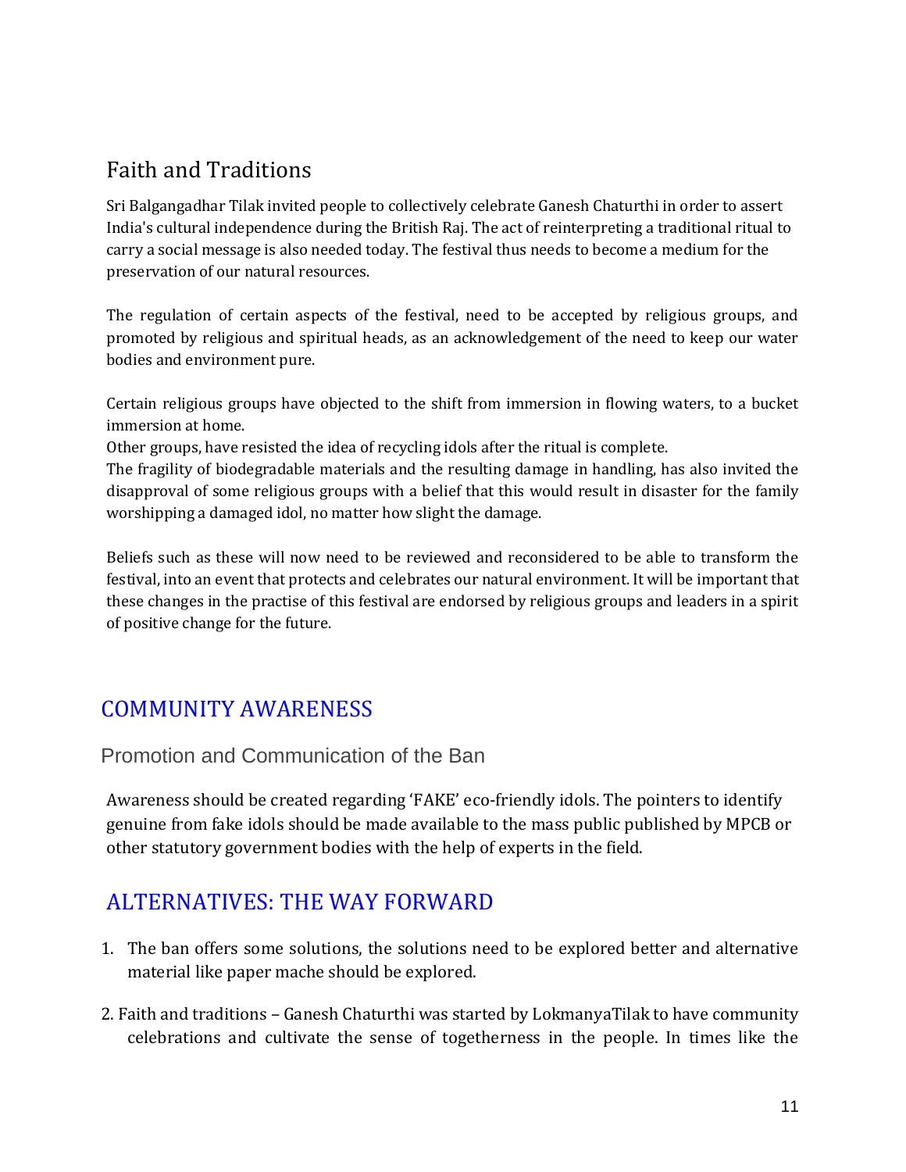# <span id="page-10-0"></span>Faith and Traditions

Sri Balgangadhar Tilak invited people to collectively celebrate Ganesh Chaturthi in order to assert India's cultural independence during the British Raj. The act of reinterpreting a traditional ritual to carry a social message is also needed today. The festival thus needs to become a medium for the preservation of our natural resources.

The regulation of certain aspects of the festival, need to be accepted by religious groups, and promoted by religious and spiritual heads, as an acknowledgement of the need to keep our water bodies and environment pure.

Certain religious groups have objected to the shift from immersion in flowing waters, to a bucket immersion at home.

Other groups, have resisted the idea of recycling idols after the ritual is complete.

The fragility of biodegradable materials and the resulting damage in handling, has also invited the disapproval of some religious groups with a belief that this would result in disaster for the family worshipping a damaged idol, no matter how slight the damage.

Beliefs such as these will now need to be reviewed and reconsidered to be able to transform the festival, into an event that protects and celebrates our natural environment. It will be important that these changes in the practise of this festival are endorsed by religious groups and leaders in a spirit of positive change for the future.

# <span id="page-10-1"></span>COMMUNITY AWARENESS

<span id="page-10-2"></span>Promotion and Communication of the Ban

Awareness should be created regarding 'FAKE' eco-friendly idols. The pointers to identify genuine from fake idols should be made available to the mass public published by MPCB or other statutory government bodies with the help of experts in the field.

# <span id="page-10-3"></span>ALTERNATIVES: THE WAY FORWARD

- 1. The ban offers some solutions, the solutions need to be explored better and alternative material like paper mache should be explored.
- 2. Faith and traditions Ganesh Chaturthi was started by LokmanyaTilak to have community celebrations and cultivate the sense of togetherness in the people. In times like the